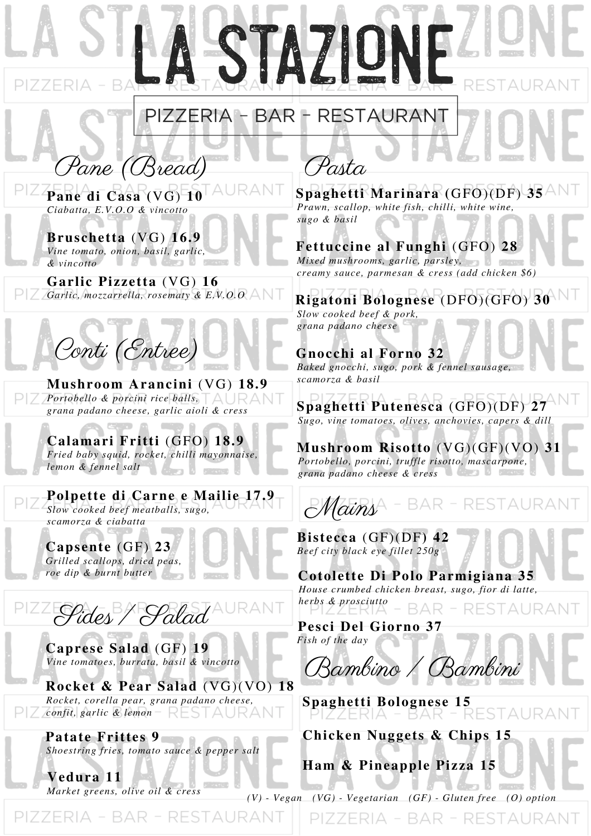## PIZZERIA - BAR - RESTAURANT

STAZIO

Pane (Bread) **Pane di Casa (**VG) **10** *Ciabatta, E.V.O.O & vincotto*

**Bruschetta** (VG) **16.9** *Vine tomato, onion, basil, garlic, & vincotto*

**Garlic Pizzetta** (VG) **16** *Garlic, mozzarrella, rosematy & E.V.O.O*



**M** *scamorza & basil* **ushroom Arancini** (VG) **18.9** *Portobello & porcini rice balls, grana padano cheese, garlic aioli & cress*

**Calamari Fritti** (GFO) **18.9** *Fried baby squid, rocket, chilli mayonnaise, lemon & fennel salt*

**Polpette di Carne e Mailie 17.9** *Slow cooked beef meatballs, sugo, scamorza & ciabatta*

**Capsente** (GF) **23** *Grilled scallops, dried peas, roe dip & burnt butter*



**Caprese Salad** (GF) **19** *Vine tomatoes, burrata, basil & vincotto*

**Rocket & Pear Salad** (VG)(VO) **18** *Rocket, corella pear, grana padano cheese, confit, garlic & lemon*

**Patate Frittes 9** *Shoestring fries, tomato sauce & pepper salt*

**Vedura 11** *Market greens, olive oil & cress*

Pasta

**Spaghetti Marinara (**GFO)(DF) **35** *Prawn, scallop, white fish, chilli, white wine, sugo & basil*

## **Fettuccine al Funghi** (GFO) **28**

*Mixed mushrooms, garlic, parsley, creamy sauce, parmesan & cress (add chicken \$6)*

**Rigatoni Bolognese** (DFO)(GFO) **30** *Slow cooked beef & pork, grana padano cheese*

## **Gnocchi al Forno 32**

*Baked gnocchi, sugo, pork & fennel sausage,*

**Spaghetti Putenesca** (GFO)(DF) **27** *Sugo, vine tomatoes, olives, anchovies, capers & dill*

**Mushroom Risotto** (VG)(GF)(VO) **31** *Portobello, porcini, truffle risotto, mascarpone, grana padano cheese & cress*

Mains RESTAURAN BARI

**Bistecca** (GF)(DF**) 42** *Beef city black eye fillet 250g*

**Cotolette Di Polo Parmigiana 35** *House crumbed chicken breast, sugo, fior di latte, herbs & prosciutto* 3AR - RESTAURANT

**Pesci Del Giorno 37** *Fish of the day*

Bambino / Bambini

**Spaghetti Bolognese 15 STAURAN** 

**Chicken Nuggets & Chips 15**

**Ham & Pineapple Pizza 15**

*(V) - Vegan (VG) - Vegetarian (GF) - Gluten free (O) option*PIZZERIA - BAR - RESTAURANT

PIZZERIA - BAR - RESTAURANT